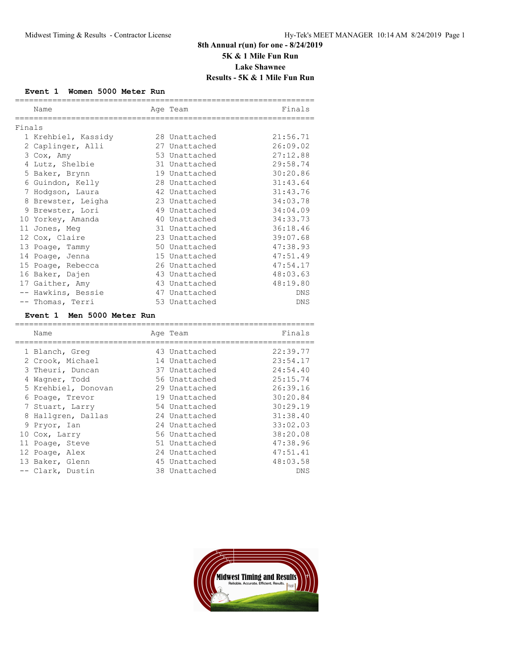# **8th Annual r(un) for one - 8/24/2019 5K & 1 Mile Fun Run Lake Shawnee Results - 5K & 1 Mile Fun Run**

### **Event 1 Women 5000 Meter Run**

| Name                |  | Age Team      | Finals   |  |  |
|---------------------|--|---------------|----------|--|--|
|                     |  |               |          |  |  |
| Finals              |  |               |          |  |  |
| 1 Krehbiel, Kassidy |  | 28 Unattached | 21:56.71 |  |  |
| 2 Caplinger, Alli   |  | 27 Unattached | 26:09.02 |  |  |
| 3 Cox, Amy          |  | 53 Unattached | 27:12.88 |  |  |
| 4 Lutz, Shelbie     |  | 31 Unattached | 29:58.74 |  |  |
| 5 Baker, Brynn      |  | 19 Unattached | 30:20.86 |  |  |
| 6 Guindon, Kelly    |  | 28 Unattached | 31:43.64 |  |  |
| 7 Hodgson, Laura    |  | 42 Unattached | 31:43.76 |  |  |
| 8 Brewster, Leigha  |  | 23 Unattached | 34:03.78 |  |  |
| 9 Brewster, Lori    |  | 49 Unattached | 34:04.09 |  |  |
| 10 Yorkey, Amanda   |  | 40 Unattached | 34:33.73 |  |  |
| 11 Jones, Meg       |  | 31 Unattached | 36:18.46 |  |  |
| 12 Cox, Claire      |  | 23 Unattached | 39:07.68 |  |  |
| 13 Poage, Tammy     |  | 50 Unattached | 47:38.93 |  |  |
| 14 Poage, Jenna     |  | 15 Unattached | 47:51.49 |  |  |
| 15 Poage, Rebecca   |  | 26 Unattached | 47:54.17 |  |  |
| 16 Baker, Dajen     |  | 43 Unattached | 48:03.63 |  |  |
| 17 Gaither, Amy     |  | 43 Unattached | 48:19.80 |  |  |
| -- Hawkins, Bessie  |  | 47 Unattached | DNS      |  |  |
| -- Thomas, Terri    |  | 53 Unattached | DNS      |  |  |

### **Event 1 Men 5000 Meter Run**

|   | Name                | Age Team      | Finals   |
|---|---------------------|---------------|----------|
|   | 1 Blanch, Greg      | 43 Unattached | 22:39.77 |
|   | 2 Crook, Michael    | 14 Unattached | 23:54.17 |
|   | 3 Theuri, Duncan    | 37 Unattached | 24:54.40 |
| 4 | Wagner, Todd        | 56 Unattached | 25:15.74 |
|   | 5 Krehbiel, Donovan | 29 Unattached | 26:39.16 |
|   | 6 Poage, Trevor     | 19 Unattached | 30:20.84 |
|   | 7 Stuart, Larry     | 54 Unattached | 30:29.19 |
|   | 8 Hallgren, Dallas  | 24 Unattached | 31:38.40 |
|   | 9 Pryor, Ian        | 24 Unattached | 33:02.03 |
|   | 10 Cox, Larry       | 56 Unattached | 38:20.08 |
|   | 11 Poage, Steve     | 51 Unattached | 47:38.96 |
|   | 12 Poage, Alex      | 24 Unattached | 47:51.41 |
|   | 13 Baker, Glenn     | 45 Unattached | 48:03.58 |
|   | -- Clark, Dustin    | 38 Unattached | DNS      |